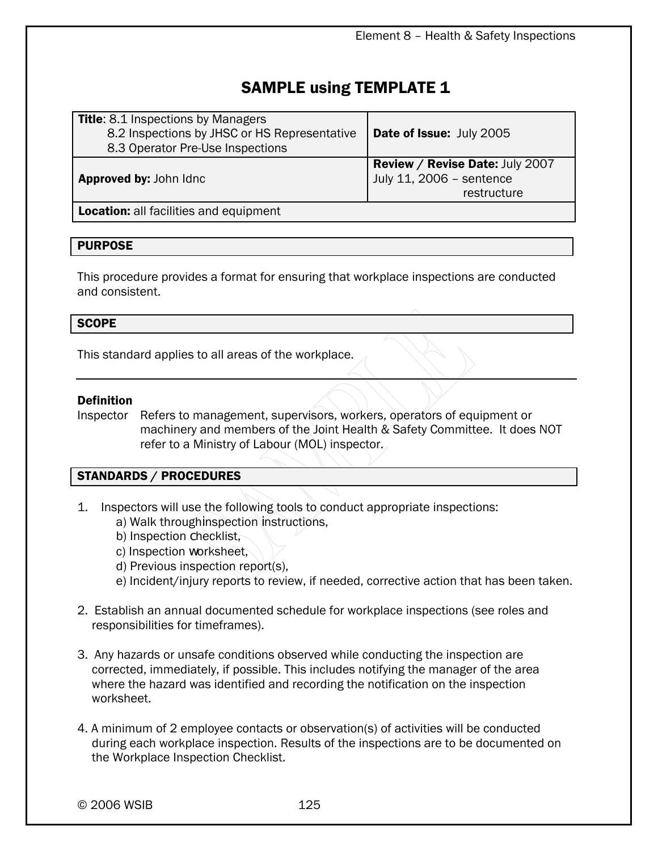## SAMPLE using TEMPLATE 1

| <b>Title:</b> 8.1 Inspections by Managers<br>8.2 Inspections by JHSC or HS Representative<br>8.3 Operator Pre-Use Inspections | Date of Issue: July 2005                                                          |
|-------------------------------------------------------------------------------------------------------------------------------|-----------------------------------------------------------------------------------|
| <b>Approved by: John Idnc</b>                                                                                                 | <b>Review / Revise Date: July 2007</b><br>July 11, 2006 - sentence<br>restructure |
| <b>Location:</b> all facilities and equipment                                                                                 |                                                                                   |

## PURPOSE

This procedure provides a format for ensuring that workplace inspections are conducted and consistent.

#### **SCOPE**

This standard applies to all areas of the workplace.

#### Definition

Inspector Refers to management, supervisors, workers, operators of equipment or machinery and members of the Joint Health & Safety Committee. It does NOT refer to a Ministry of Labour (MOL) inspector.

## STANDARDS / PROCEDURES

- 1. Inspectors will use the following tools to conduct appropriate inspections:
	- a) Walk throughinspection instructions,
	- b) Inspection checklist,
	- c) Inspection worksheet,
	- d) Previous inspection report(s),
	- e) Incident/injury reports to review, if needed, corrective action that has been taken.
- 2. Establish an annual documented schedule for workplace inspections (see roles and responsibilities for timeframes).
- 3. Any hazards or unsafe conditions observed while conducting the inspection are corrected, immediately, if possible. This includes notifying the manager of the area where the hazard was identified and recording the notification on the inspection worksheet.
- 4. A minimum of 2 employee contacts or observation(s) of activities will be conducted during each workplace inspection. Results of the inspections are to be documented on the Workplace Inspection Checklist.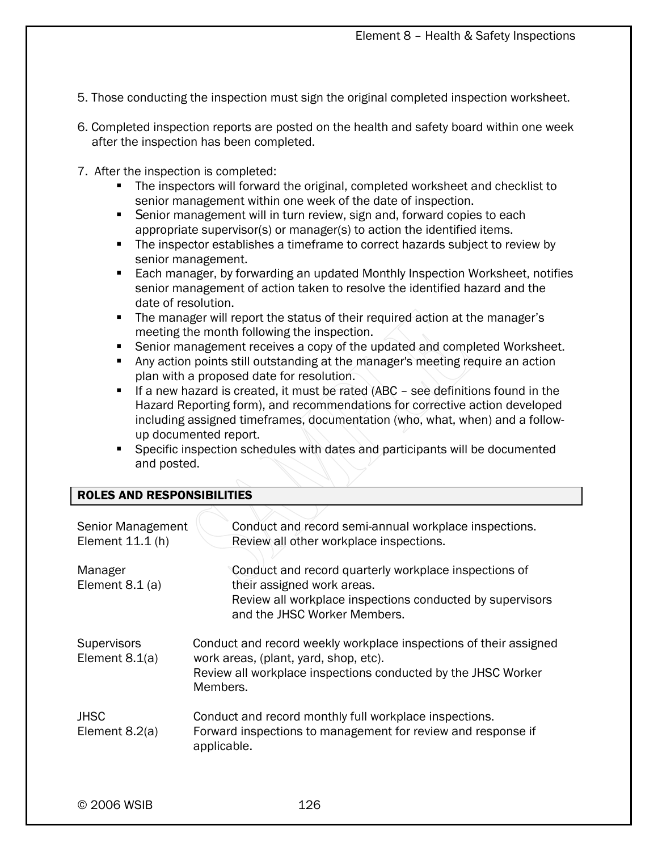- 5. Those conducting the inspection must sign the original completed inspection worksheet.
- 6. Completed inspection reports are posted on the health and safety board within one week after the inspection has been completed.
- 7. After the inspection is completed:
	- The inspectors will forward the original, completed worksheet and checklist to senior management within one week of the date of inspection.
	- Senior management will in turn review, sign and, forward copies to each appropriate supervisor(s) or manager(s) to action the identified items.
	- The inspector establishes a timeframe to correct hazards subject to review by senior management.
	- **Each manager, by forwarding an updated Monthly Inspection Worksheet, notifies** senior management of action taken to resolve the identified hazard and the date of resolution.
	- The manager will report the status of their required action at the manager's meeting the month following the inspection.
	- Senior management receives a copy of the updated and completed Worksheet.
	- Any action points still outstanding at the manager's meeting require an action plan with a proposed date for resolution.
	- If a new hazard is created, it must be rated (ABC see definitions found in the Hazard Reporting form), and recommendations for corrective action developed including assigned timeframes, documentation (who, what, when) and a followup documented report.
	- **Specific inspection schedules with dates and participants will be documented** and posted.

## ROLES AND RESPONSIBILITIES

| Senior Management<br>Element 11.1 (h)  | Conduct and record semi-annual workplace inspections.<br>Review all other workplace inspections.                                                                                        |  |  |  |
|----------------------------------------|-----------------------------------------------------------------------------------------------------------------------------------------------------------------------------------------|--|--|--|
| Manager<br>Element $8.1$ (a)           | Conduct and record quarterly workplace inspections of<br>their assigned work areas.<br>Review all workplace inspections conducted by supervisors<br>and the JHSC Worker Members.        |  |  |  |
| <b>Supervisors</b><br>Element $8.1(a)$ | Conduct and record weekly workplace inspections of their assigned<br>work areas, (plant, yard, shop, etc).<br>Review all workplace inspections conducted by the JHSC Worker<br>Members. |  |  |  |
| <b>JHSC</b><br>Element $8.2(a)$        | Conduct and record monthly full workplace inspections.<br>Forward inspections to management for review and response if<br>applicable.                                                   |  |  |  |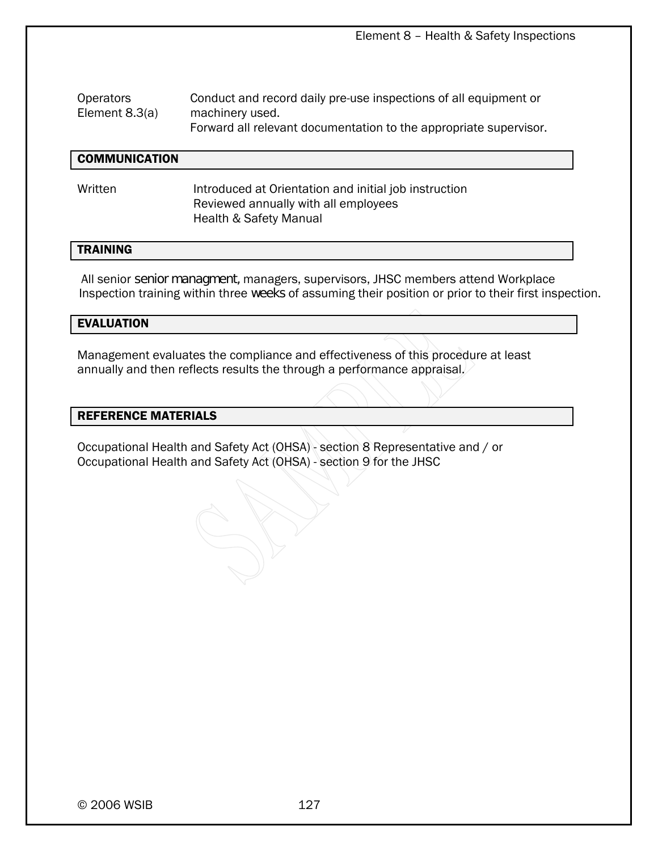Element 8 – Health & Safety Inspections

| <b>Operators</b> | Conduct and record daily pre-use inspections of all equipment or  |
|------------------|-------------------------------------------------------------------|
| Element $8.3(a)$ | machinery used.                                                   |
|                  | Forward all relevant documentation to the appropriate supervisor. |

#### **COMMUNICATION**

Written **Introduced at Orientation and initial job instruction**  Reviewed annually with all employees Health & Safety Manual

## TRAINING

 All senior senior managment, managers, supervisors, JHSC members attend Workplace Inspection training within three weeks of assuming their position or prior to their first inspection.

#### EVALUATION

Management evaluates the compliance and effectiveness of this procedure at least annually and then reflects results the through a performance appraisal.

#### REFERENCE MATERIALS

Occupational Health and Safety Act (OHSA) - section 8 Representative and / or Occupational Health and Safety Act (OHSA) - section 9 for the JHSC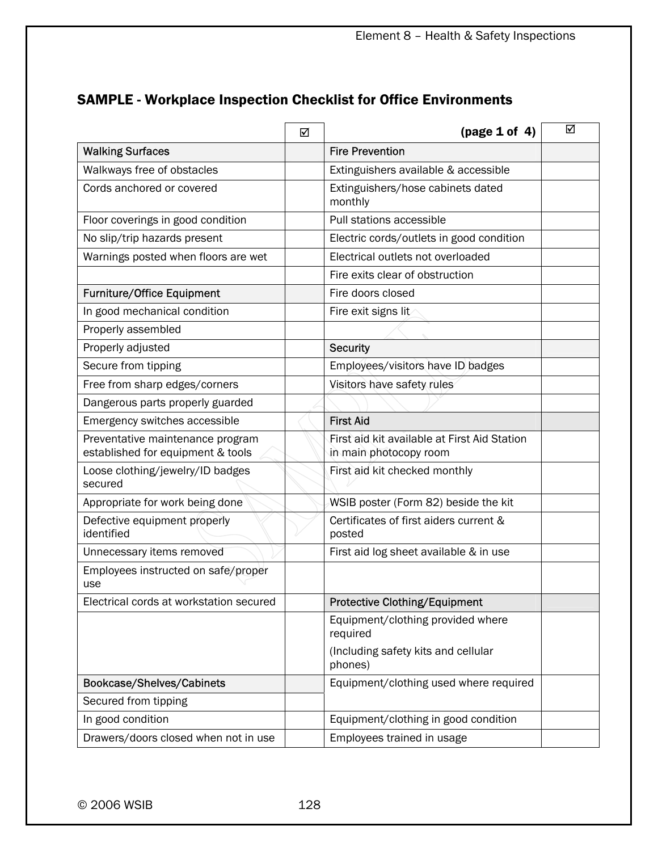## SAMPLE - Workplace Inspection Checklist for Office Environments

|                                                                       | ☑ | $\frac{1}{2}$ (page 1 of 4)                                            | ☑ |  |  |  |
|-----------------------------------------------------------------------|---|------------------------------------------------------------------------|---|--|--|--|
| <b>Walking Surfaces</b>                                               |   | <b>Fire Prevention</b>                                                 |   |  |  |  |
| Walkways free of obstacles                                            |   | Extinguishers available & accessible                                   |   |  |  |  |
| Cords anchored or covered                                             |   | Extinguishers/hose cabinets dated<br>monthly                           |   |  |  |  |
| Floor coverings in good condition                                     |   | Pull stations accessible                                               |   |  |  |  |
| No slip/trip hazards present                                          |   | Electric cords/outlets in good condition                               |   |  |  |  |
| Warnings posted when floors are wet                                   |   | Electrical outlets not overloaded                                      |   |  |  |  |
|                                                                       |   | Fire exits clear of obstruction                                        |   |  |  |  |
| <b>Furniture/Office Equipment</b>                                     |   | Fire doors closed                                                      |   |  |  |  |
| In good mechanical condition                                          |   | Fire exit signs lit                                                    |   |  |  |  |
| Properly assembled                                                    |   |                                                                        |   |  |  |  |
| Properly adjusted                                                     |   | <b>Security</b>                                                        |   |  |  |  |
| Secure from tipping                                                   |   | Employees/visitors have ID badges                                      |   |  |  |  |
| Free from sharp edges/corners                                         |   | Visitors have safety rules                                             |   |  |  |  |
| Dangerous parts properly guarded                                      |   |                                                                        |   |  |  |  |
| Emergency switches accessible                                         |   |                                                                        |   |  |  |  |
| Preventative maintenance program<br>established for equipment & tools |   | First aid kit available at First Aid Station<br>in main photocopy room |   |  |  |  |
| Loose clothing/jewelry/ID badges<br>secured                           |   | First aid kit checked monthly                                          |   |  |  |  |
| Appropriate for work being done                                       |   | WSIB poster (Form 82) beside the kit                                   |   |  |  |  |
| Defective equipment properly<br>identified                            |   | Certificates of first aiders current &<br>posted                       |   |  |  |  |
| Unnecessary items removed                                             |   | First aid log sheet available & in use                                 |   |  |  |  |
| Employees instructed on safe/proper<br>use                            |   |                                                                        |   |  |  |  |
| Electrical cords at workstation secured                               |   | Protective Clothing/Equipment                                          |   |  |  |  |
|                                                                       |   | Equipment/clothing provided where<br>required                          |   |  |  |  |
|                                                                       |   | (Including safety kits and cellular<br>phones)                         |   |  |  |  |
| Bookcase/Shelves/Cabinets                                             |   |                                                                        |   |  |  |  |
| Secured from tipping                                                  |   |                                                                        |   |  |  |  |
| In good condition                                                     |   | Equipment/clothing in good condition                                   |   |  |  |  |
| Drawers/doors closed when not in use                                  |   | Employees trained in usage                                             |   |  |  |  |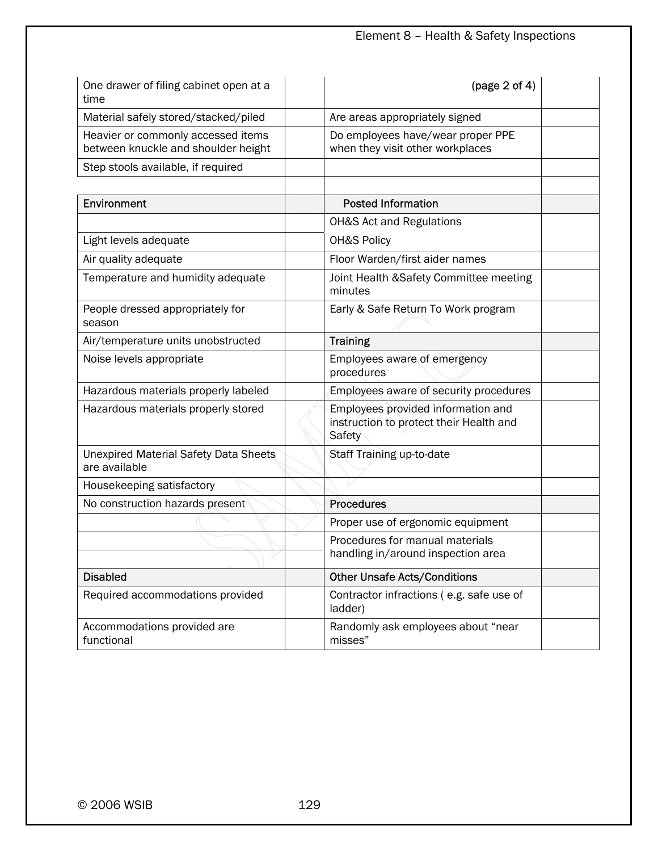| One drawer of filing cabinet open at a<br>time                            | (page 2 of 4)                                                                           |
|---------------------------------------------------------------------------|-----------------------------------------------------------------------------------------|
| Material safely stored/stacked/piled                                      | Are areas appropriately signed                                                          |
| Heavier or commonly accessed items<br>between knuckle and shoulder height | Do employees have/wear proper PPE<br>when they visit other workplaces                   |
| Step stools available, if required                                        |                                                                                         |
|                                                                           |                                                                                         |
| Environment                                                               | <b>Posted Information</b>                                                               |
|                                                                           | <b>OH&amp;S Act and Regulations</b>                                                     |
| Light levels adequate                                                     | OH&S Policy                                                                             |
| Air quality adequate                                                      | Floor Warden/first aider names                                                          |
| Temperature and humidity adequate                                         | Joint Health & Safety Committee meeting<br>minutes                                      |
| People dressed appropriately for<br>season                                | Early & Safe Return To Work program                                                     |
| Air/temperature units unobstructed                                        | <b>Training</b>                                                                         |
| Noise levels appropriate                                                  | Employees aware of emergency<br>procedures                                              |
| Hazardous materials properly labeled                                      | Employees aware of security procedures                                                  |
| Hazardous materials properly stored                                       | Employees provided information and<br>instruction to protect their Health and<br>Safety |
| <b>Unexpired Material Safety Data Sheets</b><br>are available             | Staff Training up-to-date                                                               |
| Housekeeping satisfactory                                                 |                                                                                         |
| No construction hazards present                                           | <b>Procedures</b>                                                                       |
|                                                                           | Proper use of ergonomic equipment                                                       |
|                                                                           | Procedures for manual materials<br>handling in/around inspection area                   |
| <b>Disabled</b>                                                           | <b>Other Unsafe Acts/Conditions</b>                                                     |
| Required accommodations provided                                          | Contractor infractions (e.g. safe use of<br>ladder)                                     |
| Accommodations provided are<br>functional                                 | Randomly ask employees about "near<br>misses"                                           |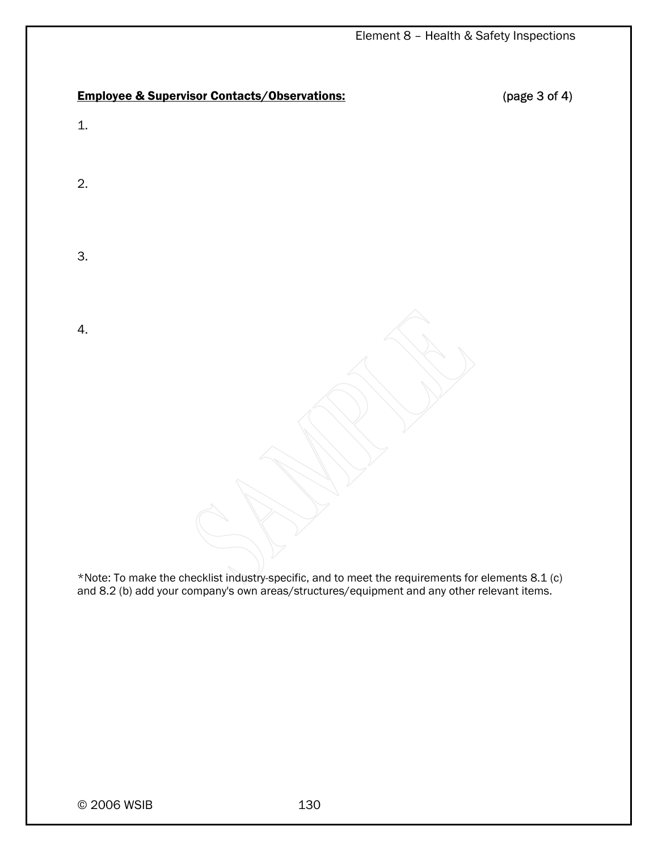## Employee & Supervisor Contacts/Observations: (page 3 of 4)

1.

2.

3.

4.

\*Note: To make the checklist industry-specific, and to meet the requirements for elements 8.1 (c) and 8.2 (b) add your company's own areas/structures/equipment and any other relevant items.